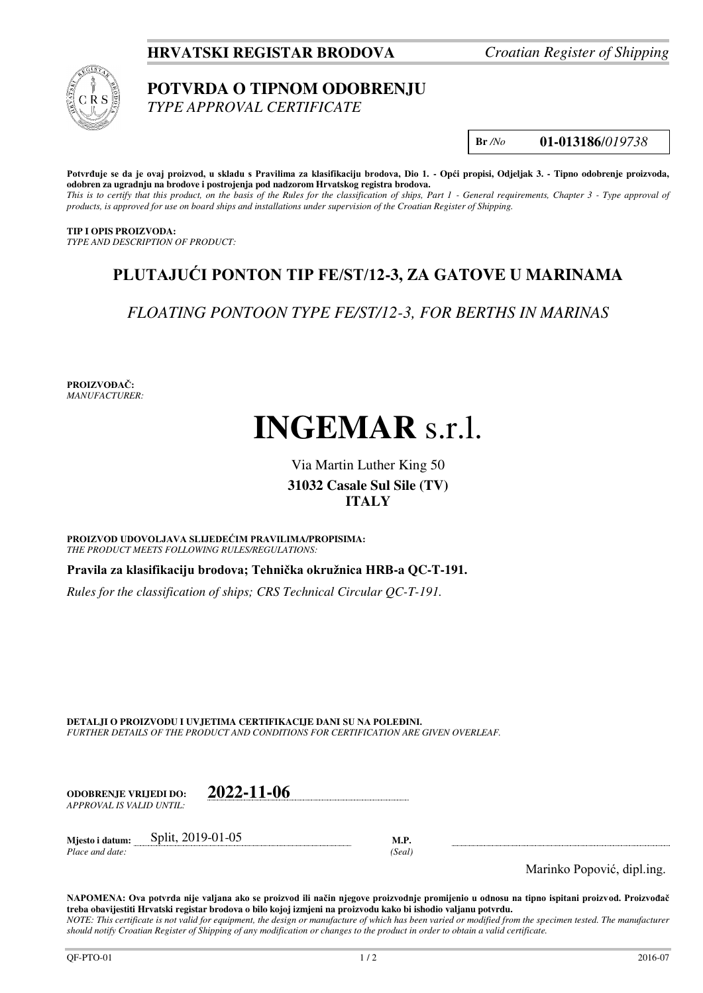**HRVATSKI REGISTAR BRODOVA** *Croatian Register of Shipping*



## **POTVRDA O TIPNOM ODOBRENJU**

*TYPE APPROVAL CERTIFICATE* 

**Br** */No* **01-013186**/*019738*

**Potvrđuje se da je ovaj proizvod, u skladu s Pravilima za klasifikaciju brodova, Dio 1. - Opći propisi, Odjeljak 3. - Tipno odobrenje proizvoda, odobren za ugradnju na brodove i postrojenja pod nadzorom Hrvatskog registra brodova.** 

*This is to certify that this product, on the basis of the Rules for the classification of ships, Part 1 - General requirements, Chapter 3 - Type approval of products, is approved for use on board ships and installations under supervision of the Croatian Register of Shipping.* 

**TIP I OPIS PROIZVODA:** *TYPE AND DESCRIPTION OF PRODUCT:* 

## **PLUTAJUĆI PONTON TIP FE/ST/12-3, ZA GATOVE U MARINAMA**

*FLOATING PONTOON TYPE FE/ST/12-3, FOR BERTHS IN MARINAS*

**PROIZVOĐAČ:** *MANUFACTURER:*

# **INGEMAR** s.r.l.

### Via Martin Luther King 50 **31032 Casale Sul Sile (TV) ITALY**

**PROIZVOD UDOVOLJAVA SLIJEDEĆIM PRAVILIMA/PROPISIMA:** *THE PRODUCT MEETS FOLLOWING RULES/REGULATIONS:* 

**Pravila za klasifikaciju brodova; Tehnička okružnica HRB-a QC-T-191.** 

*Rules for the classification of ships; CRS Technical Circular QC-T-191.*

**DETALJI O PROIZVODU I UVJETIMA CERTIFIKACIJE DANI SU NA POLEĐINI.** *FURTHER DETAILS OF THE PRODUCT AND CONDITIONS FOR CERTIFICATION ARE GIVEN OVERLEAF.* 

| ODOBREN.IE VRLIEDI DO:    | 2022-11-06 |
|---------------------------|------------|
| APPROVAL IS VALID UNTIL:- |            |

**Mjesto i datum:** Split, 2019-01-05 **M.P.**  *Place and date: (Seal)* 

Marinko Popović, dipl.ing.

**NAPOMENA: Ova potvrda nije valjana ako se proizvod ili način njegove proizvodnje promijenio u odnosu na tipno ispitani proizvod. Proizvođač treba obavijestiti Hrvatski registar brodova o bilo kojoj izmjeni na proizvodu kako bi ishodio valjanu potvrdu.**  *NOTE: This certificate is not valid for equipment, the design or manufacture of which has been varied or modified from the specimen tested. The manufacturer should notify Croatian Register of Shipping of any modification or changes to the product in order to obtain a valid certificate.*